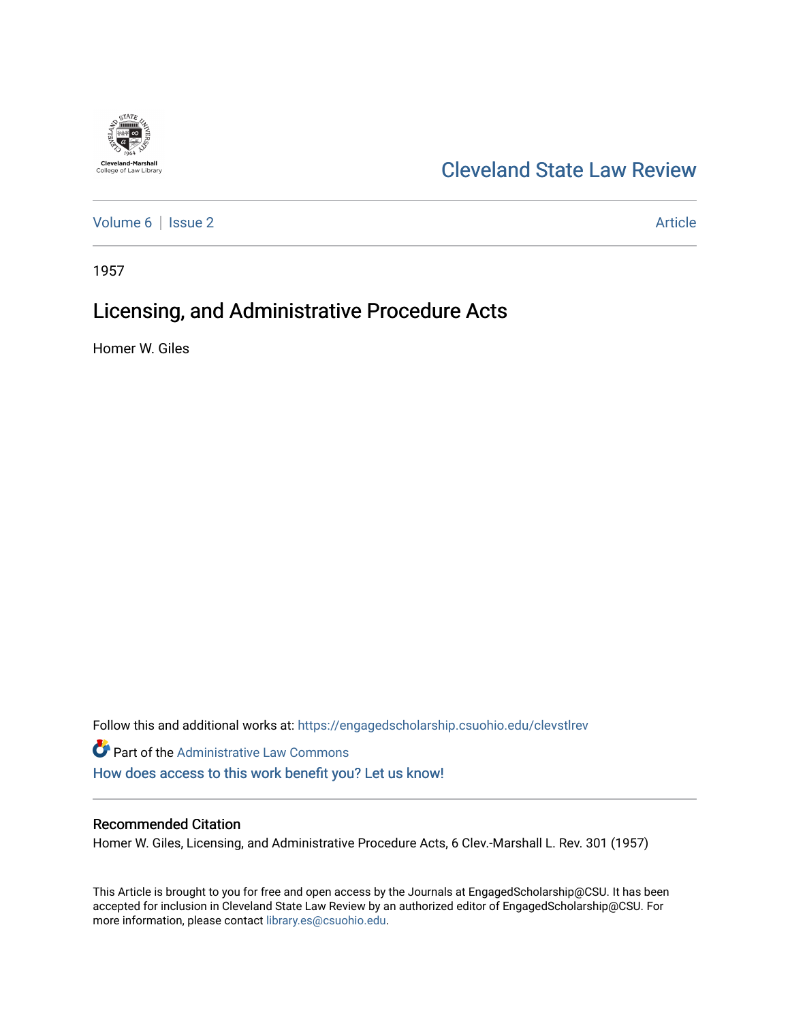

## [Cleveland State Law Review](https://engagedscholarship.csuohio.edu/clevstlrev)

[Volume 6](https://engagedscholarship.csuohio.edu/clevstlrev/vol6) | [Issue 2](https://engagedscholarship.csuohio.edu/clevstlrev/vol6/iss2) Article

1957

# Licensing, and Administrative Procedure Acts

Homer W. Giles

Follow this and additional works at: [https://engagedscholarship.csuohio.edu/clevstlrev](https://engagedscholarship.csuohio.edu/clevstlrev?utm_source=engagedscholarship.csuohio.edu%2Fclevstlrev%2Fvol6%2Fiss2%2F15&utm_medium=PDF&utm_campaign=PDFCoverPages) Part of the [Administrative Law Commons](http://network.bepress.com/hgg/discipline/579?utm_source=engagedscholarship.csuohio.edu%2Fclevstlrev%2Fvol6%2Fiss2%2F15&utm_medium=PDF&utm_campaign=PDFCoverPages)  [How does access to this work benefit you? Let us know!](http://library.csuohio.edu/engaged/)

### Recommended Citation

Homer W. Giles, Licensing, and Administrative Procedure Acts, 6 Clev.-Marshall L. Rev. 301 (1957)

This Article is brought to you for free and open access by the Journals at EngagedScholarship@CSU. It has been accepted for inclusion in Cleveland State Law Review by an authorized editor of EngagedScholarship@CSU. For more information, please contact [library.es@csuohio.edu](mailto:library.es@csuohio.edu).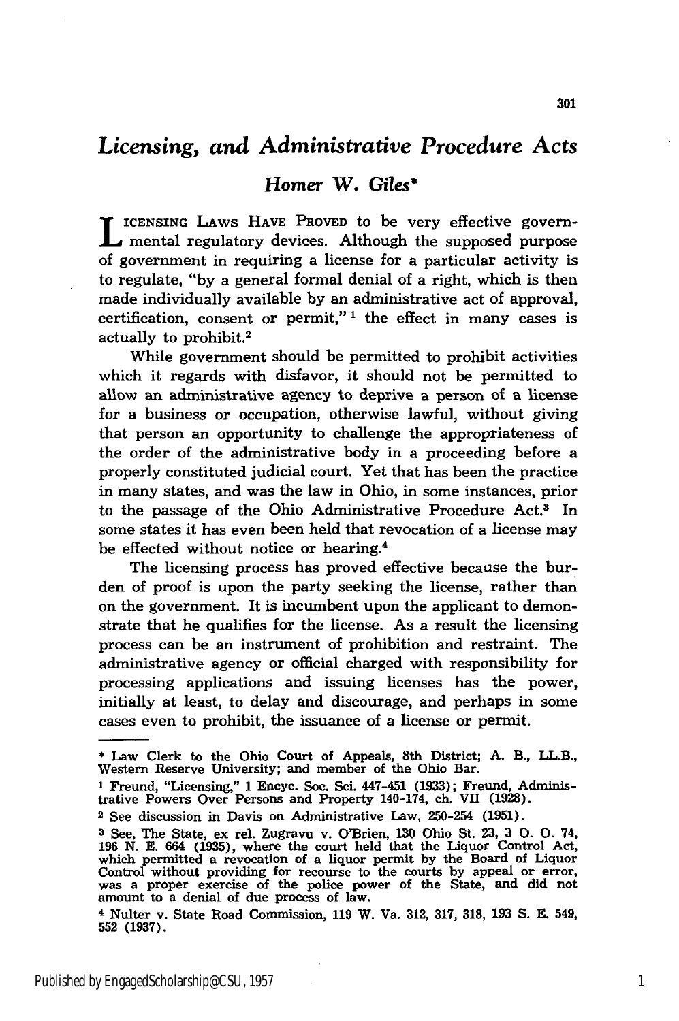## *Licensing, and Administrative Procedure Acts*

### Homer W. *Giles\**

**L ICENSING** LAWS **HAVE** PROVED to be very effective govern-LICENSING LAWS 144.0 - -----of government in requiring a license for a particular activity is to regulate, **"by** a general formal denial of a right, which is then made individually available **by** an administrative act of approval, certification, consent or permit,"<sup>1</sup> the effect in many cases is actually to prohibit.<sup>2</sup>

While government should be permitted to prohibit activities which it regards with disfavor, it should not be permitted to allow an administrative agency to deprive a person of a license for a business or occupation, otherwise lawful, without giving that person an opportunity to challenge the appropriateness of the order of the administrative body in a proceeding before a properly constituted judicial court. Yet that has been the practice in many states, and was the law in Ohio, in some instances, prior to the passage of the Ohio Administrative Procedure Act.3 In some states it has even been held that revocation of a license may be effected without notice or hearing.4

The licensing process has proved effective because the burden of proof is upon the party seeking the license, rather than on the government. It is incumbent upon the applicant to demonstrate that he qualifies for the license. As a result the licensing process can be an instrument of prohibition and restraint. The administrative agency or official charged with responsibility for processing applications and issuing licenses has the power, initially at least, to delay and discourage, and perhaps in some cases even to prohibit, the issuance of a license or permit.

**<sup>\*</sup>** Law Clerk to the Ohio Court of Appeals, **8th** District; **A.** B., LL.B., Western Reserve University; and member of the Ohio Bar.

**<sup>1</sup>** Freund, "Licensing," **1** Encyc. Soc. Sci. 447-451 **(1933);** Freund, Administrative Powers Over Persons and Property 140-174, ch. **VII (1928).**

**<sup>2</sup>** See discussion in Davis on Administrative Law, 250-254 **(1951).**

**<sup>3</sup>** See, The State, ex **rel.** Zugravu v. O'Brien, **130** Ohio St. **23, 3 0. 0.** 74, **196 N. E.** 664 (1935), where the court held that the Liquor Control Act, which permitted a revocation of a liquor permit by the Board of Liquor<br>Control without providing for recourse to the courts by appeal or error<br>was a proper exercise of the police power of the State, and did not amount to a denial of due process of law.

<sup>4</sup> Nulter v. State Road Commission, **119** W. Va. **312, 317, 318, 193 S. E.** 549, **552 (1937).**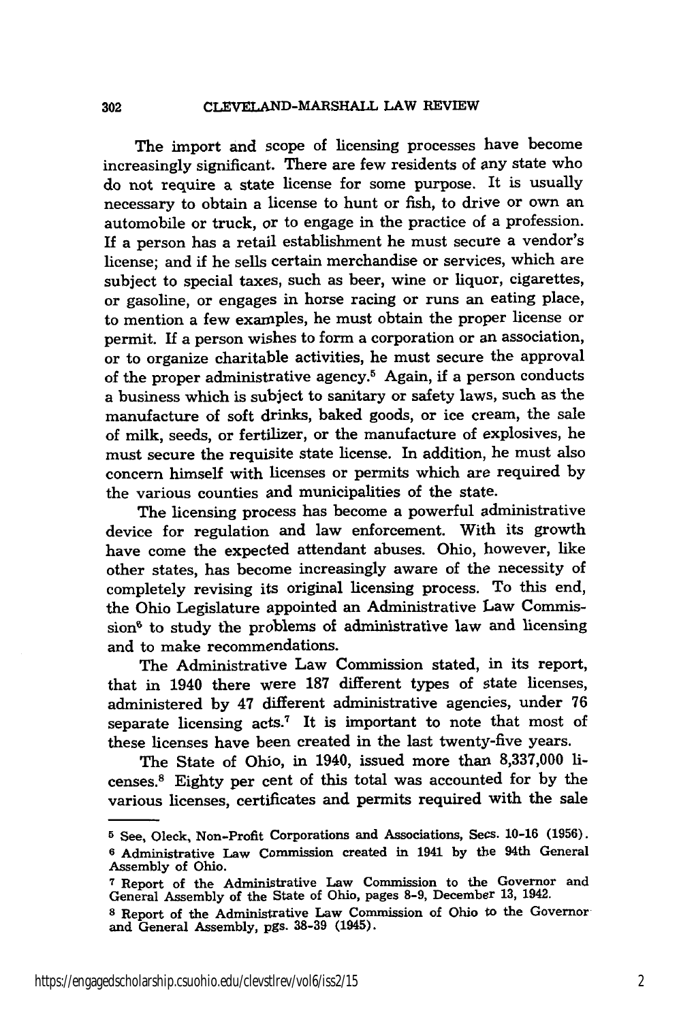The import and scope of licensing processes have become increasingly significant. There are few residents of any state who do not require a state license for some purpose. It is usually necessary to obtain a license to hunt or fish, to drive or own an automobile or truck, or to engage in the practice of a profession. If a person has a retail establishment he must secure a vendor's license; and if he sells certain merchandise or services, which are subject to special taxes, such as beer, wine or liquor, cigarettes, or gasoline, or engages in horse racing or runs an eating place, to mention a few examples, he must obtain the proper license or permit. If a person wishes to form a corporation or an association, or to organize charitable activities, he must secure the approval of the proper administrative agency.5 Again, if a person conducts a business which is subject to sanitary or safety laws, such as the manufacture of soft drinks, baked goods, or ice cream, the sale of milk, seeds, or fertilizer, or the manufacture of explosives, he must secure the requisite state license. In addition, he must also concern himself with licenses or permits which are required **by** the various counties and municipalities of the state.

The licensing process has become a powerful administrative device for regulation and law enforcement. With its growth have come the expected attendant abuses. Ohio, however, like other states, has become increasingly aware of the necessity of completely revising its original licensing process. To this end, the Ohio Legislature appointed an Administrative Law Commis $sion<sup>6</sup>$  to study the problems of administrative law and licensing and to make recommendations.

The Administrative Law Commission stated, in its report, that in 1940 there were **187** different types of state licenses, administered **by** 47 different administrative agencies, under **<sup>76</sup>** separate licensing  $acts.<sup>7</sup>$  It is important to note that most of these licenses have been created in the last twenty-five years.

The State of Ohio, in 1940, issued more than **8,337,000** licenses." Eighty per cent of this total was accounted for **by** the various licenses, certificates and permits required with the sale

**<sup>5</sup>** See, Oleck, Non-Profit Corporations and Associations, Sees. **10-16 (1956). 6** Administrative Law Commission created in 1941 **by** the 94th General Assembly of Ohio.

**<sup>7</sup>** Report of the Administrative Law Commission to the Governor and General Assembly of the State of Ohio, pages **8-9,** December **13,** 1942.

<sup>8</sup> Report of the Administrative Law Commission of Ohio to the Governor and General Assembly, pgs. **38-39** (1945).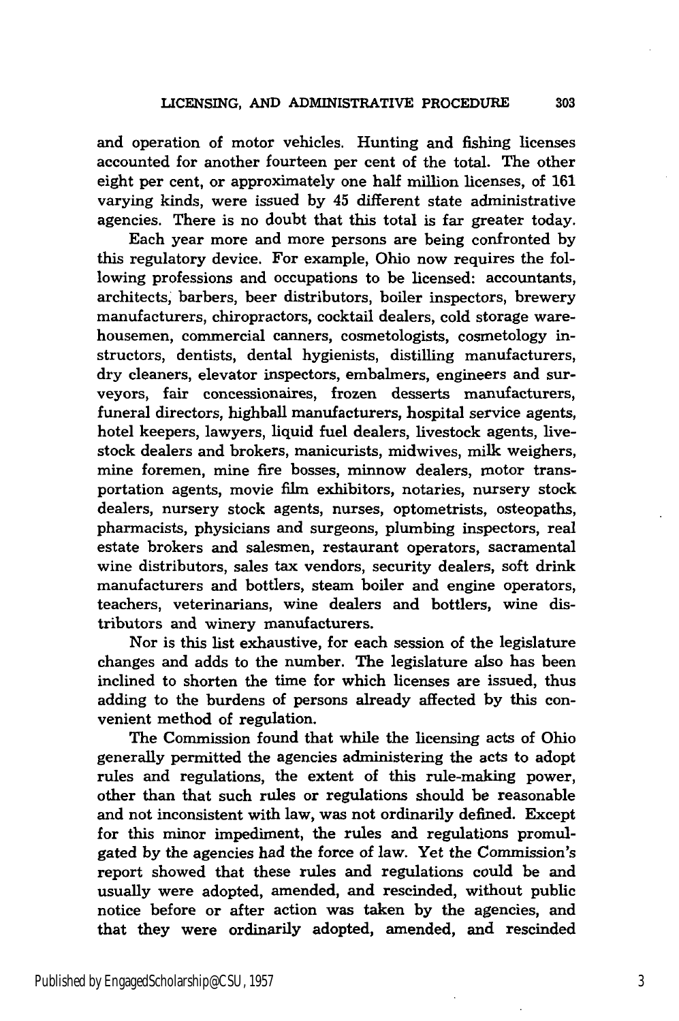and operation of motor vehicles. Hunting and fishing licenses accounted for another fourteen per cent of the total. The other eight per cent, or approximately one half million licenses, of **161** varying kinds, were issued **by** 45 different state administrative agencies. There is no doubt that this total is far greater today.

Each year more and more persons are being confronted **by** this regulatory device. For example, Ohio now requires the following professions and occupations to be licensed: accountants, architects, barbers, beer distributors, boiler inspectors, brewery manufacturers, chiropractors, cocktail dealers, cold storage warehousemen, commercial canners, cosmetologists, cosmetology instructors, dentists, dental hygienists, distilling manufacturers, dry cleaners, elevator inspectors, embalmers, engineers and surveyors, fair concessionaires, frozen desserts manufacturers, funeral directors, highball manufacturers, hospital service agents, hotel keepers, lawyers, liquid fuel dealers, livestock agents, livestock dealers and brokers, manicurists, midwives, milk weighers, mine foremen, mine fire bosses, minnow dealers, motor transportation agents, movie film exhibitors, notaries, nursery stock dealers, nursery stock agents, nurses, optometrists, osteopaths, pharmacists, physicians and surgeons, plumbing inspectors, real estate brokers and salesmen, restaurant operators, sacramental wine distributors, sales tax vendors, security dealers, soft drink manufacturers and bottlers, steam boiler and engine operators, teachers, veterinarians, wine dealers and bottlers, wine distributors and winery manufacturers.

Nor is this list exhaustive, for each session of the legislature changes and adds to the number. The legislature also has been inclined to shorten the time for which licenses are issued, thus adding to the burdens of persons already affected **by** this convenient method of regulation.

The Commission found that while the licensing acts of Ohio generally permitted the agencies administering the acts to adopt rules and regulations, the extent of this rule-making power, other than that such rules or regulations should be reasonable and not inconsistent with law, was not ordinarily defined. Except for this minor impediment, the rules and regulations promulgated **by** the agencies had the force of law. Yet the Commission's report showed that these rules and regulations could be and usually were adopted, amended, and rescinded, without public notice before or after action was taken **by** the agencies, and that they were ordinarily adopted, amended, and rescinded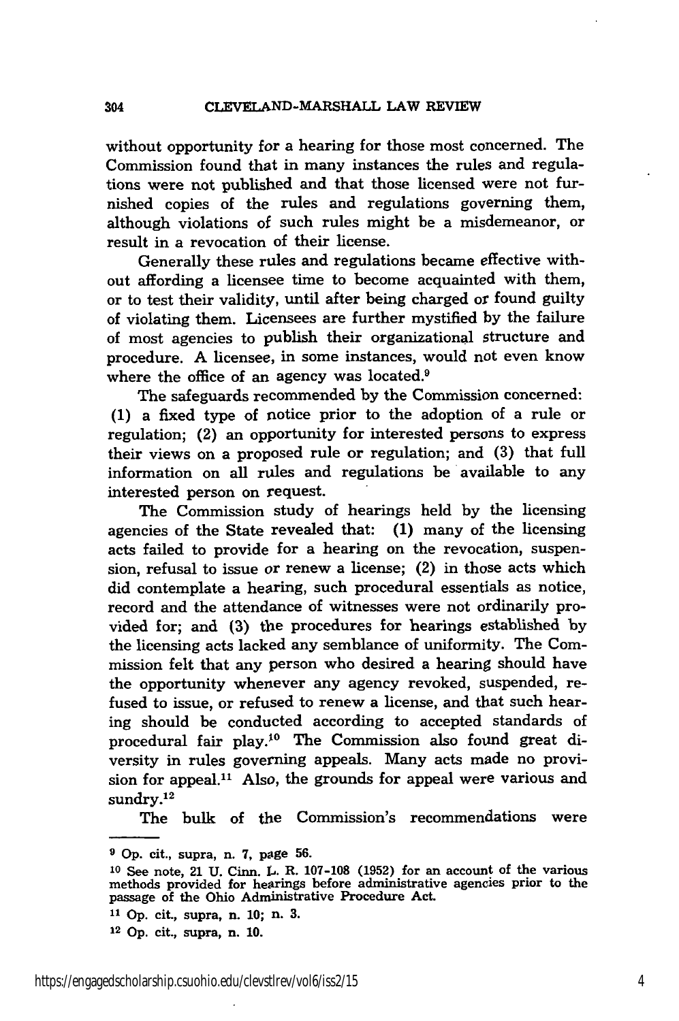304

without opportunity for a hearing for those most concerned. The Commission found that in many instances the rules and regulations were not published and that those licensed were not furnished copies of the rules and regulations governing them, although violations of such rules might be a misdemeanor, or result in a revocation of their license.

Generally these rules and regulations became effective without affording a licensee time to become acquainted with them, or to test their validity, until after being charged or found guilty of violating them. Licensees are further mystified by the failure of most agencies to publish their organizational structure and procedure. A licensee, in some instances, would not even know where the office of an agency was located.<sup>9</sup>

The safeguards recommended **by** the Commission concerned: **(1)** a fixed type of notice prior to the adoption of a rule or regulation; (2) an opportunity for interested persons to express their views on a proposed rule or regulation; and **(3)** that full information on all rules and regulations be available to any interested person on request.

The Commission study of hearings held by the licensing agencies of the State revealed that: **(1)** many of the licensing acts failed to provide for a hearing on the revocation, suspension, refusal to issue or renew a license; (2) in those acts which did contemplate a hearing, such procedural essentials as notice, record and the attendance of witnesses were not ordinarily provided for; and **(3)** the procedures for hearings established **by** the licensing acts lacked any semblance of uniformity. The Commission felt that any person who desired a hearing should have the opportunity whenever any agency revoked, suspended, refused to issue, or refused to renew a license, and that such hearing should be conducted according to accepted standards of procedural fair play.<sup>10</sup> The Commission also found great diversity in rules governing appeals. Many acts made no provision for appeal.<sup>11</sup> Also, the grounds for appeal were various and  $s$ undry. $^{12}$ 

The bulk of the Commission's recommendations were

- **<sup>11</sup>**Op. cit., supra, n. **10;** n. **3.**
- 12 Op. cit., supra, n. 10.

**<sup>9</sup>** Op. cit., supra, n. 7, page **56.**

**<sup>10</sup>**See note, 21 U. Cinn. L. R. 107-108 (1952) for an account of the various methods provided for hearings before administrative agencies prior to the passage of the Ohio Administrative Procedure Act.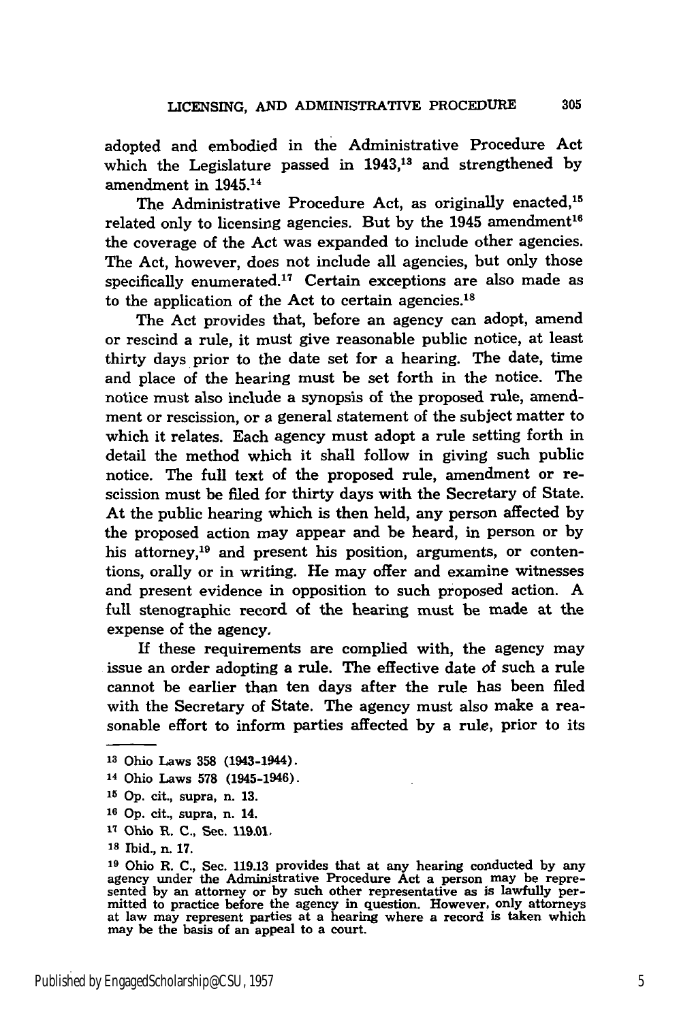adopted and embodied in the Administrative Procedure Act which the Legislature passed in 1943,<sup>13</sup> and strengthened by amendment in 1945.14

The Administrative Procedure Act, as originally enacted,<sup>15</sup> related only to licensing agencies. But by the 1945 amendment<sup>16</sup> the coverage of the Act was expanded to include other agencies. The Act, however, does not include all agencies, but only those specifically enumerated.<sup>17</sup> Certain exceptions are also made as to the application of the Act to certain agencies. $^{18}$ 

The Act provides that, before an agency can adopt, amend or rescind a rule, it must give reasonable public notice, at least thirty days prior to the date set for a hearing. The date, time and place of the hearing must be set forth in the notice. The notice must also include a synopsis of the proposed rule, amendment or rescission, or **a** general statement of the subject matter to which it relates. Each agency must adopt a rule setting forth in detail the method which it shall follow in giving such public notice. The full text of the proposed rule, amendment or rescission must be filed for thirty days with the Secretary of State. At the public hearing which is then held, any person affected by the proposed action may appear and be heard, in person or by his attorney,<sup>19</sup> and present his position, arguments, or contentions, orally or in writing. He may offer and examine witnesses and present evidence in opposition to such proposed action. A full stenographic record of the hearing must be made at the expense of the agency,

If these requirements are complied with, the agency may issue an order adopting a rule. The effective date of such a rule cannot be earlier than ten days after the rule has been filed with the Secretary of State. The agency must also make a reasonable effort to inform parties affected by a rule, prior to its

- **<sup>14</sup>**Ohio Laws **578** (1945-1946).
- **<sup>15</sup>**Op. cit., supra, n. **13.**
- **<sup>16</sup>Op.** cit., supra, n. 14.
- **<sup>17</sup>**Ohio R. **C., Sec.** 119.01.
- **Is** Ibid., n. 17.

305

**<sup>13</sup>**Ohio Laws **358** (1943-1944).

**<sup>19</sup>**Ohio R. C., Sec. 119.13 provides that at any hearing conducted by any agency under the Administrative Procedure Act a person may be repre-<br>sented by an attorney or by such other representative as is lawfully per-<br>mitted to practice before the agency in question. However, only attorneys at law may represent parties at a hearing where a record is taken which may be the basis of an appeal to a court.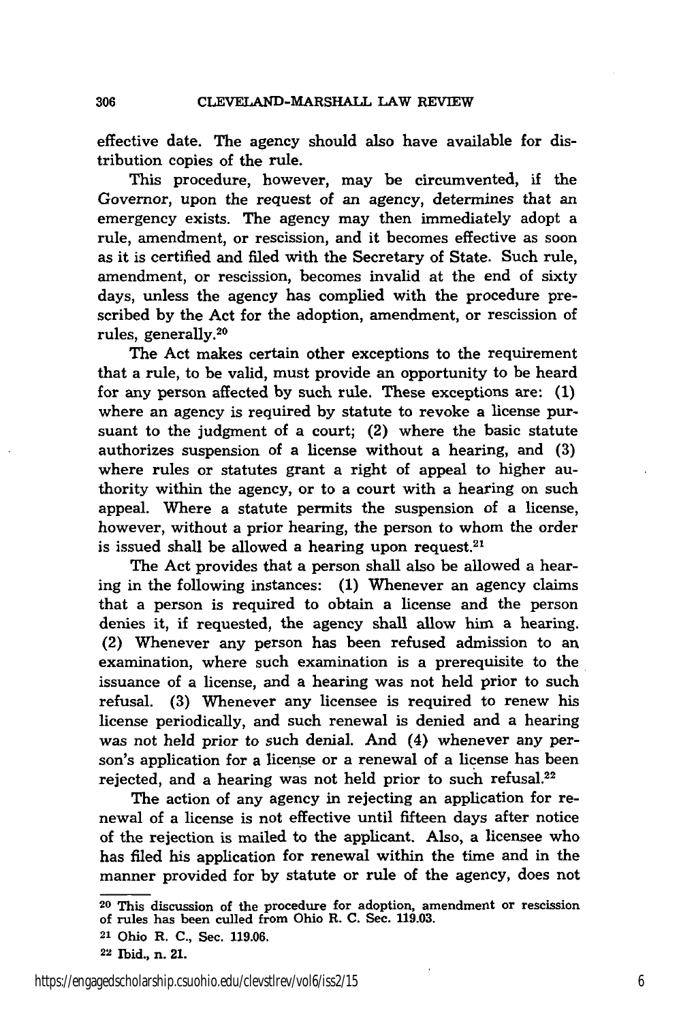effective date. The agency should also have available for distribution copies of the rule.

This procedure, however, may be circumvented, if the Governor, upon the request of an agency, determines that an emergency exists. The agency may then immediately adopt a rule, amendment, or rescission, and it becomes effective as soon as it is certified and filed with the Secretary of State. Such rule, amendment, or rescission, becomes invalid at the end of sixty days, unless the agency has complied with the procedure prescribed by the Act for the adoption, amendment, or rescission of rules, generally. <sup>20</sup>

The Act makes certain other exceptions to the requirement that a rule, to be valid, must provide an opportunity to be heard for any person affected **by** such rule. These exceptions are: **(1)** where an agency is required **by** statute to revoke a license pursuant to the judgment of a court; (2) where the basic statute authorizes suspension of a license without a hearing, and **(3)** where rules or statutes grant a right of appeal to higher authority within the agency, or to a court with a hearing on such appeal. Where a statute permits the suspension of a license, however, without a prior hearing, the person to whom the order is issued shall be allowed a hearing upon request. $21$ 

The Act provides that a person shall also be allowed a hearing in the following instances: **(1)** Whenever an agency **claims** that a person is required to obtain a license and the person denies it, if requested, the agency shall allow him a hearing. (2) Whenever any person has been refused admission to an examination, where such examination is a prerequisite to the issuance of a license, and a hearing was not held prior to such refusal. (3) Whenever any licensee is required to renew his license periodically, and such renewal is denied and a hearing was not held prior to such denial. And (4) whenever any person's application for a license or a renewal of a license has been rejected, and a hearing was not held prior to such refusal.<sup>22</sup>

The action of any agency in rejecting an application for renewal of a license is not effective until fifteen days after notice of the rejection is mailed to the applicant. Also, a licensee who has filed his application for renewal within the time and in the manner provided for by statute or rule of the agency, does not

**<sup>20</sup>**This discussion of the procedure for adoption, amendment or rescission of rules has been culled from Ohio R. **C.** Sec. 119.03.

**<sup>21</sup>** Ohio R. **C.,** Sec. **119.06.**

**<sup>22</sup>**Tbid., n. 21.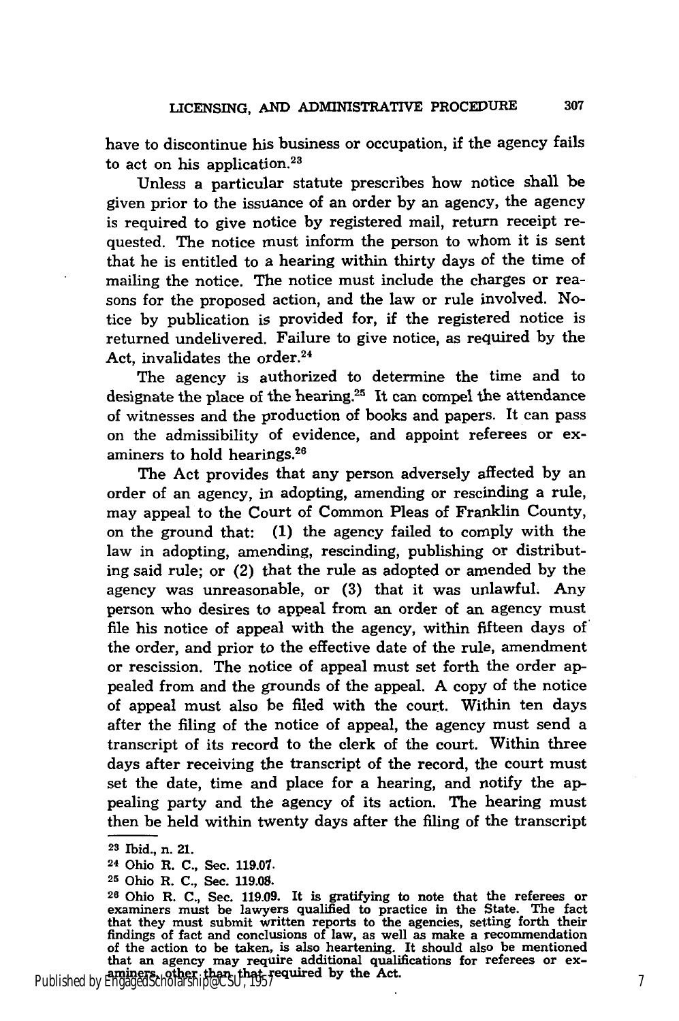have to discontinue his business or occupation, if the agency fails to act on his application.<sup>23</sup>

Unless a particular statute prescribes how notice shall be given prior to the issuance of an order by an agency, the agency is required to give notice by registered mail, return receipt requested. The notice must inform the person to whom it is sent that he is entitled to a hearing within thirty days of the time of mailing the notice. The notice must include the charges or reasons for the proposed action, and the law or rule involved. Notice by publication is provided for, if the registered notice is returned undelivered. Failure to give notice, as required by the Act, invalidates the order.<sup>24</sup>

The agency is authorized to determine the time and to designate the place of the hearing.<sup>25</sup> It can compel the attendance of witnesses and the production of books and papers. It can pass on the admissibility of evidence, and appoint referees or examiners to hold hearings.<sup>26</sup>

The Act provides that any person adversely affected by an order of an agency, in adopting, amending or rescinding a rule, may appeal to the Court of Common Pleas of Franklin County, on the ground that: **(1)** the agency failed to comply with the law in adopting, amending, rescinding, publishing or distributing said rule; or (2) that the rule as adopted or amended by the agency was unreasonable, or **(3)** that it was unlawful. Any person who desires to appeal from an order of an agency must file his notice of appeal with the agency, within fifteen days of the order, and prior to the effective date of the rule, amendment or rescission. The notice of appeal must set forth the order appealed from and the grounds of the appeal. A copy of the notice of appeal must also be filed with the court. Within ten days after the filing of the notice of appeal, the agency must send a transcript of its record to the clerk of the court. Within three days after receiving the transcript of the record, the court must set the date, time and place for a hearing, and notify the appealing party and the agency of its action. The hearing must then be held within twenty days after the filing of the transcript

**<sup>23</sup>**Ibid., n. 21.

**<sup>24</sup>** Ohio R. **C.,** Sec. **119.01.**

<sup>25</sup> Ohio R. C., Sec. 119.05.

**<sup>26</sup>**Ohio R. **C.,** Sec. 119.09. It is gratifying to note that the referees or examiners must be lawyers qualified to practice in the State. The fact that they must submit written reports to the agencies, setting forth their findings of fact and conclusions of law, as well as make a recommendation of the action to be taken, is also heartening. It should also be mentioned that an agency may require additional qualifications for referees or ex-<br>
Published by EngagedScholarship@CSU, 1957<br>
Published by EngagedScholarship@CSU, 1957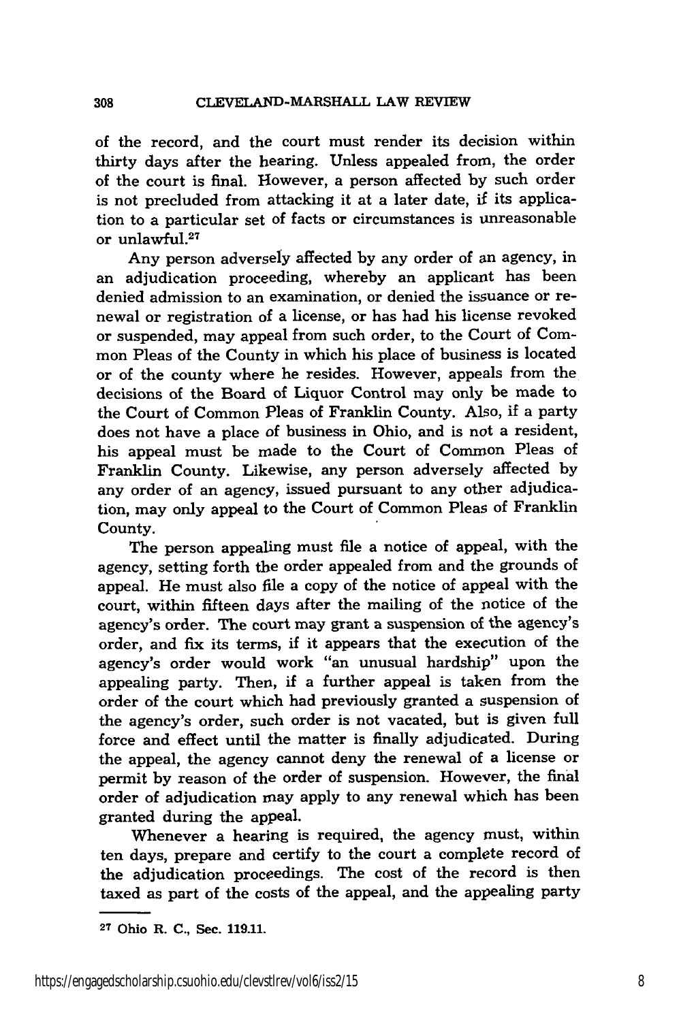308

of the record, and the court must render its decision within thirty days after the hearing. Unless appealed from, the order of the court is final. However, a person affected by such order is not precluded from attacking it at a later date, if its application to a particular set of facts or circumstances is unreasonable or unlawful. $27$ 

Any person adversely affected by any order of an agency, in an adjudication proceeding, whereby an applicant has been denied admission to an examination, or denied the issuance or renewal or registration of a license, or has had his license revoked or suspended, may appeal from such order, to the Court of Common Pleas of the County in which his place of business is located or of the county where he resides. However, appeals from the decisions of the Board of Liquor Control may only be made to the Court of Common Pleas of Franklin County. Also, if a party does not have a place of business in Ohio, and is not a resident, his appeal must be made to the Court of Common Pleas of Franklin County. Likewise, any person adversely affected by any order of an agency, issued pursuant to any other adjudication, may only appeal to the Court of Common Pleas of Franklin County.

The person appealing must file a notice of appeal, with the agency, setting forth the order appealed from and the grounds of appeal. He must also file a copy of the notice of appeal with the court, within fifteen days after the mailing of the notice of the agency's order. The court may grant a suspension of the agency's order, and fix its terms, if it appears that the execution of the agency's order would work "an unusual hardship" upon the appealing party. Then, if a further appeal is taken from the order of the court which had previously granted a suspension of the agency's order, such order is not vacated, but is given full force and effect until the matter is finally adjudicated. During the appeal, the agency cannot deny the renewal of a license or permit by reason of the order of suspension. However, the final order of adjudication may apply to any renewal which has been granted during the appeal.

Whenever a hearing is required, the agency must, within ten days, prepare and certify to the court a complete record of the adjudication proceedings. The cost of the record is then taxed as part of the costs of the appeal, and the appealing party

**<sup>27</sup>** Ohio R. **C.,** Sec. **119.11.**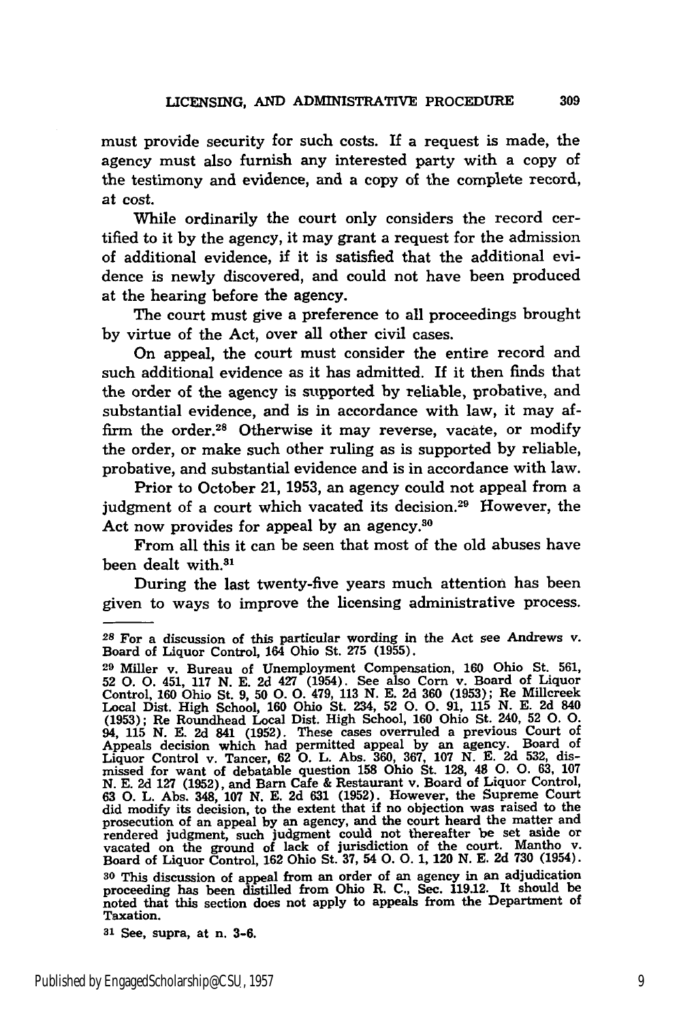must provide security for such costs. If a request is made, the agency must also furnish any interested party with a copy of the testimony and evidence, and a copy of the complete record, at cost.

While ordinarily the court only considers the record certified to it by the agency, it may grant a request for the admission of additional evidence, if it is satisfied that the additional evidence is newly discovered, and could not have been produced at the hearing before the agency.

The court must give a preference to all proceedings brought by virtue of the Act, over all other civil cases.

On appeal, the court must consider the entire record and such additional evidence as it has admitted. If it then finds that the order of the agency is supported by reliable, probative, and substantial evidence, and is in accordance with law, it may affirm the order.<sup>28</sup> Otherwise it may reverse, vacate, or modify the order, or make such other ruling as is supported by reliable, probative, and substantial evidence and is in accordance with law.

Prior to October 21, 1953, an agency could not appeal from a judgment of a court which vacated its decision.<sup>29</sup> However, the Act now provides for appeal by an agency.<sup>30</sup>

From all this it can be seen that most of the old abuses have been dealt with. $31$ 

During the last twenty-five years much attention has been given to ways to improve the licensing administrative process.

**<sup>28</sup>** For a discussion of this particular wording in the Act see Andrews v. Board of Liquor Control, 164 Ohio St. **275 (1955).**

**<sup>29</sup>** Miller v. Bureau of Unemployment Compensation, **160** Ohio St. **561, 52 0. 0.** 451, **117 N. E. 2d** 427 (1954). See also Corn v. Board of Liquor Control, **160** Ohio St. **9, 50 0. 0.** 479, **113 N. E. 2d 360 (1953);** Re Milicreek Local Dist. High School, **160** Ohio St. 234, **52 0. 0. 91, 115 N. E. 2d** 840 **(1953);** Re Roundhead Local Dist. High School, **160** Ohio St. 240, **52 0. 0.** 94, **115 N. E. 2d** 841 (1952). These cases overruled a previous Court of Appeals decision which had permitted appeal **by** an agency. Board of Liquor Control v. Tancer, 62 O. L. Abs. 360, 367, 107 N. E. 2d 532, dismissed for want of debatable question 158 Ohio St. 128, 48 O. O. 63, 107 N. E. 2d 127 (1952), and Barn Cafe & Restaurant v. Board of Liquor Control. **63 0.** L. Abs. 348, **107 N. E. 2d 631 (1952).** However, the Supreme Court did modify its decision, to the extent that if no objection was raised to the prosecution of an appeal **by** an agency, and the court heard the matter and rendered judgment, such judgment could not thereafter be set aside or vacated on the ground of lack of jurisdiction of the court. Mantho v. Board of Liquor Control, **162** Ohio St. **37,** 54 **0. 0. 1,** 120 **N. E. 2d 730** (1954). **<sup>30</sup>**This discussion of appeal from an order of an agency in an adjudication proceeding has been distilled from Ohio R. **C.,** Sec. **119.12.** It should be noted that this section does not apply to appeals from the Department of Taxation.

**<sup>31</sup>**See, supra, at n. **3-6.**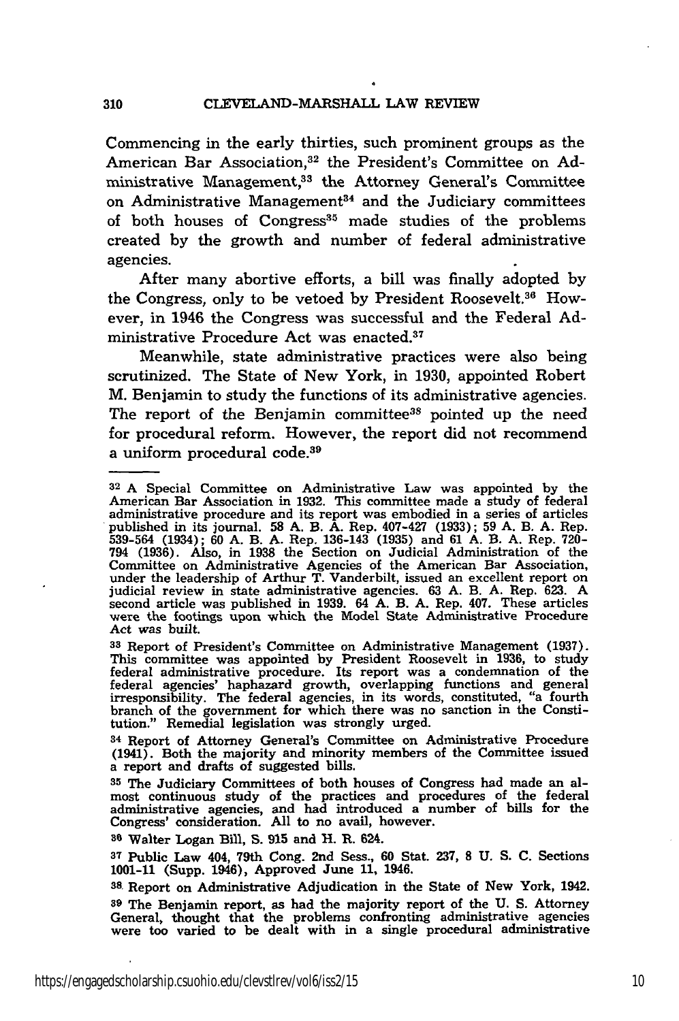Commencing in the early thirties, such prominent groups as the American Bar Association, 32 the President's Committee on **Ad**ministrative Management,<sup>33</sup> the Attorney General's Committee on Administrative Management $34$  and the Judiciary committees of both houses of Congress<sup>35</sup> made studies of the problems created **by** the growth and number of federal administrative agencies.

After many abortive efforts, a bill was finally adopted **by** the Congress, only to be vetoed **by** President Roosevelt."6 However, in 1946 the Congress was successful and the Federal **Ad**ministrative Procedure Act was enacted.<sup>37</sup>

Meanwhile, state administrative practices were also being scrutinized. The State of New York, in 1930, appointed Robert M. Benjamin to study the functions of its administrative agencies. The report of the Benjamin committee<sup>38</sup> pointed up the need for procedural reform. However, the report did not recommend a uniform procedural code.<sup>39</sup>

**<sup>34</sup>**Report of Attorney General's Committee on Administrative Procedure (1941). Both the majority and minority members of the Committee issued a report and drafts of suggested bills.

**35** The Judiciary Committees of both houses of Congress had made an al-most continuous study of the practices and procedures of the federal administrative agencies, and had introduced a number of bills for the Congress' consideration. **All** to no avail, however.

**<sup>36</sup>**Walter Logan Bill, **S. 915** and **H.** R. 624.

**<sup>37</sup>**Public Law 404, 79th Cong. 2nd Sess., **60** Stat. 237, **8** U. S. **C.** Sections 1001-11 (Supp. 1946), Approved June 11, 1946.

**38.** Report on Administrative Adjudication in the State of New York, 1942. **<sup>39</sup>**The Benjamin report, as had the majority report of the U. S. Attorney General, thought that the problems confronting administrative agencies were too varied to be dealt with in a single procedural administrative

**<sup>32</sup> A** Special Committee on Administrative Law was appointed by the American Bar Association in 1932. This committee made a study of federal administrative procedure and its report was embodied in a series of articles published in its journal. 58 A. B. A. Rep. 407-427 (1933); 59 A. B. A. Rep. 539-564 (1934); 60 A. B. A. Rep. 136-143 (1935) and 61 A. B. A. Rep. 720-794 (1936). Also, in 1938 the Section on Judicial Administration of the Committee on Administrative Agencies of the American Bar Association<br>under the leadership of Arthur T. Vanderbilt, issued an excellent report on<br>judicial review in state administrative agencies. 63 A. B. A. Rep. 623. A second article was published in 1939. 64 **A.** B. A. Rep. 407. These articles were the footings upon which the Model State Administrative Procedure *Act* was built.

**<sup>33</sup>**Report of President's Committee on Administrative Management **(1937).** This committee was appointed **by** President Roosevelt in **1936,** to study federal administrative procedure. Its report was a condemnation of the federal agencies' haphazard growth, overlapping functions and general irresponsibility. The federal agencies, in its words, constituted, "a fourth branch of the government for which there was no sanction in the Constitution." Remedial legislation was strongly urged.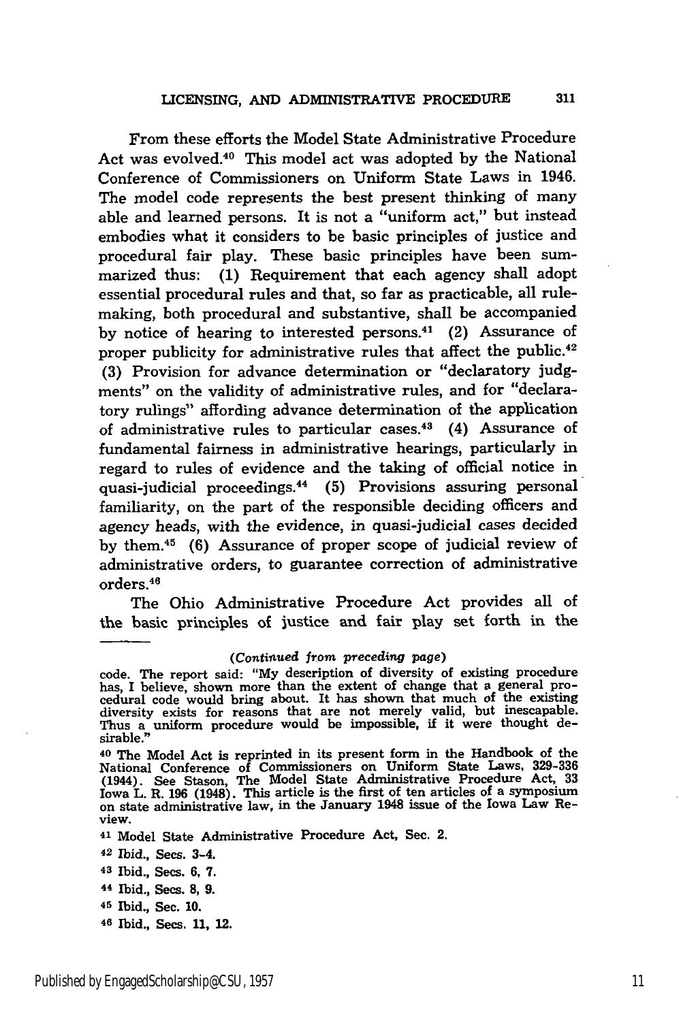From these efforts the Model State Administrative Procedure Act was evolved. 40 This model act was adopted **by** the National Conference of Commissioners on Uniform State Laws in 1946. The model code represents the best present thinking of many able and learned persons. It is not a "uniform act," but instead embodies what it considers to be basic principles of justice and procedural fair play. These basic principles have been summarized thus: **(1)** Requirement that each agency shall adopt essential procedural rules and that, so far as practicable, all rulemaking, both procedural and substantive, shall be accompanied by notice of hearing to interested persons.<sup>41</sup> (2) Assurance of proper publicity for administrative rules that affect the public.<sup>42</sup> **(3)** Provision for advance determination or "declaratory **judg**ments" on the validity of administrative rules, and for "declaratory rulings" affording advance determination of the application of administrative rules to particular cases.<sup>43</sup> (4) Assurance of fundamental fairness in administrative hearings, particularly in regard to rules of evidence and the taking of official notice in quasi-judicial proceedings. <sup>44</sup>**(5)** Provisions assuring personal familiarity, on the part of the responsible deciding officers and agency heads, with the evidence, in quasi-judicial cases decided **by** them.45 **(6)** Assurance of proper scope of judicial review of administrative orders, to guarantee correction of administrative orders.46

The Ohio Administrative Procedure Act provides **all** of the basic principles **of** justice and fair play set forth in the

#### *(Continued* from *preceding page)*

**46** Ibid., Secs. **11,** 12.

code. The report said: "My description of diversity of existing procedure<br>has, I believe, shown more than the extent of change that a general pro-<br>cedural code would bring about. It has shown that much of the existing diversity exists for reasons that are not merely valid, but inescapable. Thus a uniform procedure would be impossible, if it were thought desirable."

**<sup>40</sup>**The Model Act is reprinted in its present form in the Handbook of the National Conference of Commissioners on Uniform State Laws, 329-336<br>(1944). See Stason, The Model State Administrative Procedure Act, 33<br>Iowa L. R. 196 (1948). This article is the first of ten articles of a symposium on state administrative law, **in** the January 1948 issue of the Iowa Law Review.

**<sup>41</sup>**Model State Administrative Procedure Act, Sec. 2.

**<sup>42</sup>** Ibid., Secs. 3-4.

**<sup>43</sup>**Ibid., Secs. **6, 7.**

**<sup>44</sup>**Ibid., Secs. **8, 9.**

**<sup>45</sup>**Ibid., Sec. **10.**